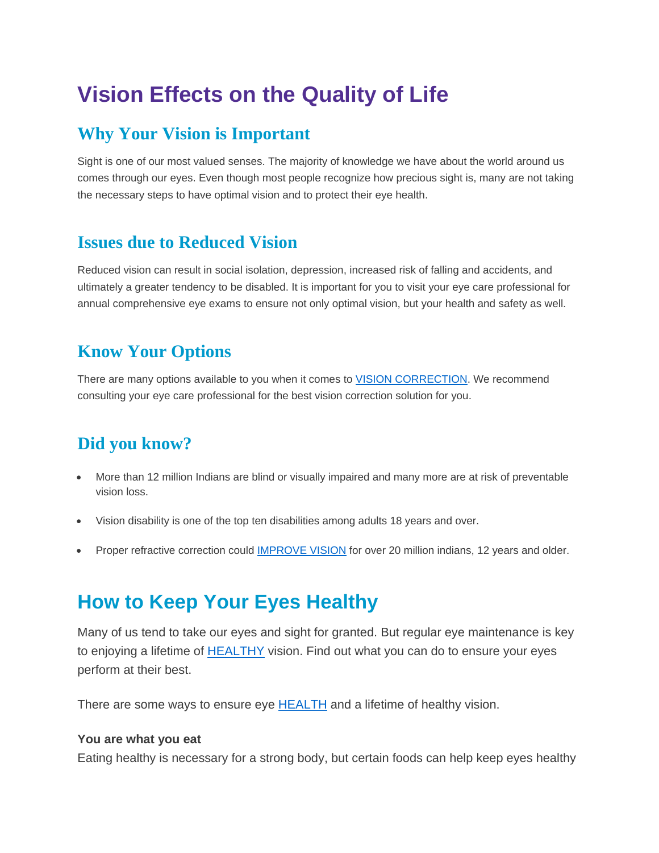## **Vision Effects on the Quality of Life**

### **Why Your Vision is Important**

Sight is one of our most valued senses. The majority of knowledge we have about the world around us comes through our eyes. Even though most people recognize how precious sight is, many are not taking the necessary steps to have optimal vision and to protect their eye health.

### **Issues due to Reduced Vision**

Reduced vision can result in social isolation, depression, increased risk of falling and accidents, and ultimately a greater tendency to be disabled. It is important for you to visit your eye care professional for annual comprehensive eye exams to ensure not only optimal vision, but your health and safety as well.

### **Know Your Options**

There are many options available to you when it comes to **VISION CORRECTION**. We recommend consulting your eye care professional for the best vision correction solution for you.

### **Did you know?**

- More than 12 million Indians are blind or visually impaired and many more are at risk of preventable vision loss.
- Vision disability is one of the top ten disabilities among adults 18 years and over.
- Proper refractive correction could **[IMPROVE VISION](http://www.thinkaboutyoureyes.com/articles/prevention-care/quality-of-life)** for over 20 million indians, 12 years and older.

## **How to Keep Your Eyes Healthy**

Many of us tend to take our eyes and sight for granted. But regular eye maintenance is key to enjoying a lifetime of [HEALTHY](http://www.thinkaboutyoureyes.com/articles/prevention-care/health-tips) vision. Find out what you can do to ensure your eyes perform at their best.

There are some ways to ensure eye [HEALTH](http://www.thinkaboutyoureyes.com/articles/prevention-care/health-tips) and a lifetime of healthy vision.

#### **You are what you eat**

Eating healthy is necessary for a strong body, but certain foods can help keep eyes healthy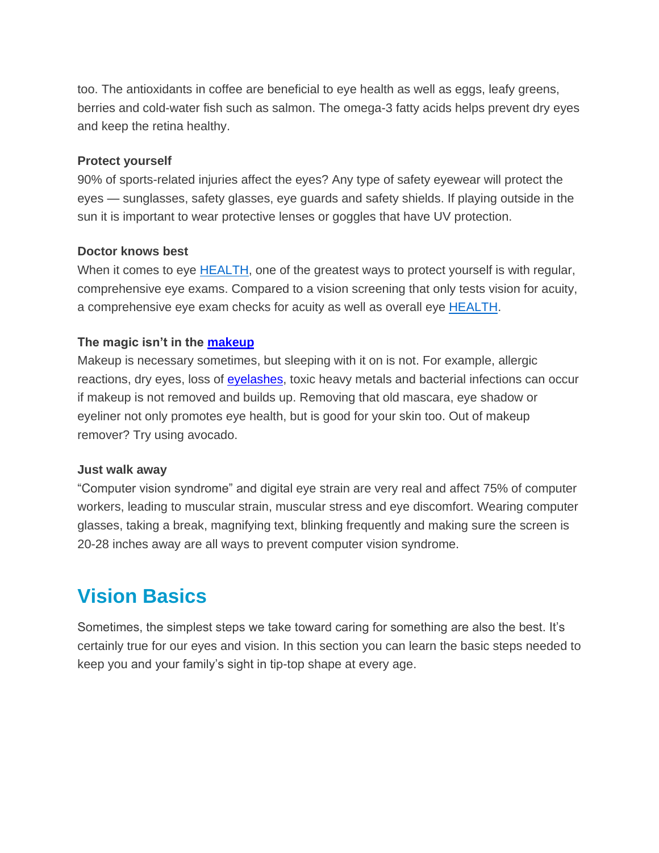too. The antioxidants in coffee are beneficial to eye health as well as eggs, leafy greens, berries and cold-water fish such as salmon. The omega-3 fatty acids helps prevent dry eyes and keep the retina healthy.

#### **Protect yourself**

90% of sports-related injuries affect the eyes? Any type of safety eyewear will protect the eyes — sunglasses, safety glasses, eye guards and safety shields. If playing outside in the sun it is important to wear protective lenses or goggles that have UV protection.

#### **Doctor knows best**

When it comes to eye **HEALTH**, one of the greatest ways to protect yourself is with regular, comprehensive eye exams. Compared to a vision screening that only tests vision for acuity, a comprehensive eye exam checks for acuity as well as overall eye [HEALTH.](http://www.thinkaboutyoureyes.com/articles/prevention-care/health-tips)

#### **The magic isn't in the [makeup](http://www.thinkaboutyoureyes.com/articles/prevention-care/health-tips)**

Makeup is necessary sometimes, but sleeping with it on is not. For example, allergic reactions, dry eyes, loss of [eyelashes,](http://www.thinkaboutyoureyes.com/articles/prevention-care/health-tips) toxic heavy metals and bacterial infections can occur if makeup is not removed and builds up. Removing that old mascara, eye shadow or eyeliner not only promotes eye health, but is good for your skin too. Out of makeup remover? Try using avocado.

#### **Just walk away**

―Computer vision syndrome‖ and digital eye strain are very real and affect 75% of computer workers, leading to muscular strain, muscular stress and eye discomfort. Wearing computer glasses, taking a break, magnifying text, blinking frequently and making sure the screen is 20-28 inches away are all ways to prevent computer vision syndrome.

## **Vision Basics**

Sometimes, the simplest steps we take toward caring for something are also the best. It's certainly true for our eyes and vision. In this section you can learn the basic steps needed to keep you and your family's sight in tip-top shape at every age.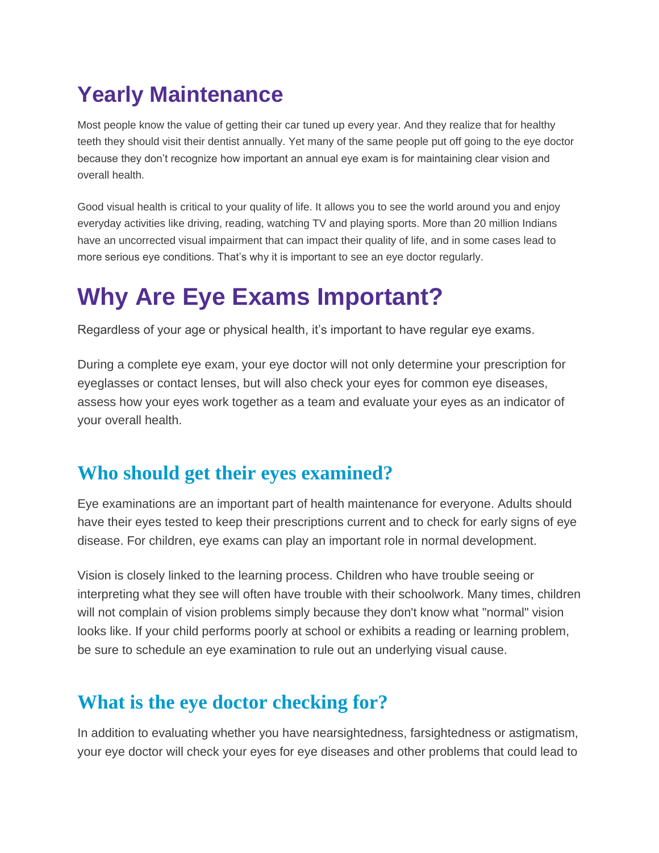## **Yearly Maintenance**

Most people know the value of getting their car tuned up every year. And they realize that for healthy teeth they should visit their dentist annually. Yet many of the same people put off going to the eye doctor because they don't recognize how important an annual eye exam is for maintaining clear vision and overall health.

Good visual health is critical to your quality of life. It allows you to see the world around you and enjoy everyday activities like driving, reading, watching TV and playing sports. More than 20 million Indians have an uncorrected visual impairment that can impact their quality of life, and in some cases lead to more serious eye conditions. That's why it is important to see an eye doctor regularly.

## **Why Are Eye Exams Important?**

Regardless of your age or physical health, it's important to have regular eye exams.

During a complete eye exam, your eye doctor will not only determine your prescription for eyeglasses or contact lenses, but will also check your eyes for common eye diseases, assess how your eyes work together as a team and evaluate your eyes as an indicator of your overall health.

## **Who should get their eyes examined?**

Eye examinations are an important part of health maintenance for everyone. Adults should have their eyes tested to keep their prescriptions current and to check for early signs of eye disease. For children, eye exams can play an important role in normal development.

Vision is closely linked to the learning process. Children who have trouble seeing or interpreting what they see will often have trouble with their schoolwork. Many times, children will not complain of vision problems simply because they don't know what "normal" vision looks like. If your child performs poorly at school or exhibits a reading or learning problem, be sure to schedule an eye examination to rule out an underlying visual cause.

## **What is the eye doctor checking for?**

In addition to evaluating whether you have nearsightedness, farsightedness or astigmatism, your eye doctor will check your eyes for eye diseases and other problems that could lead to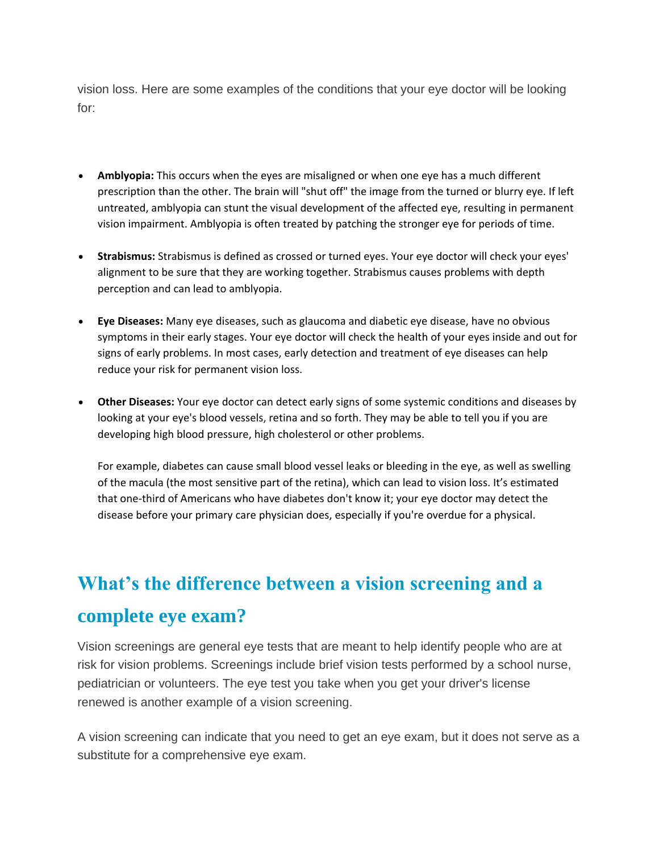vision loss. Here are some examples of the conditions that your eye doctor will be looking for:

- **Amblyopia:** This occurs when the eyes are misaligned or when one eye has a much different prescription than the other. The brain will "shut off" the image from the turned or blurry eye. If left untreated, amblyopia can stunt the visual development of the affected eye, resulting in permanent vision impairment. Amblyopia is often treated by patching the stronger eye for periods of time.
- **Strabismus:** Strabismus is defined as crossed or turned eyes. Your eye doctor will check your eyes' alignment to be sure that they are working together. Strabismus causes problems with depth perception and can lead to amblyopia.
- **Eye Diseases:** Many eye diseases, such as glaucoma and diabetic eye disease, have no obvious symptoms in their early stages. Your eye doctor will check the health of your eyes inside and out for signs of early problems. In most cases, early detection and treatment of eye diseases can help reduce your risk for permanent vision loss.
- **Other Diseases:** Your eye doctor can detect early signs of some systemic conditions and diseases by looking at your eye's blood vessels, retina and so forth. They may be able to tell you if you are developing high blood pressure, high cholesterol or other problems.

For example, diabetes can cause small blood vessel leaks or bleeding in the eye, as well as swelling of the macula (the most sensitive part of the retina), which can lead to vision loss. It's estimated that one-third of Americans who have diabetes don't know it; your eye doctor may detect the disease before your primary care physician does, especially if you're overdue for a physical.

## **What's the difference between a vision screening and a complete eye exam?**

Vision screenings are general eye tests that are meant to help identify people who are at risk for vision problems. Screenings include brief vision tests performed by a school nurse, pediatrician or volunteers. The eye test you take when you get your driver's license renewed is another example of a vision screening.

A vision screening can indicate that you need to get an eye exam, but it does not serve as a substitute for a comprehensive eye exam.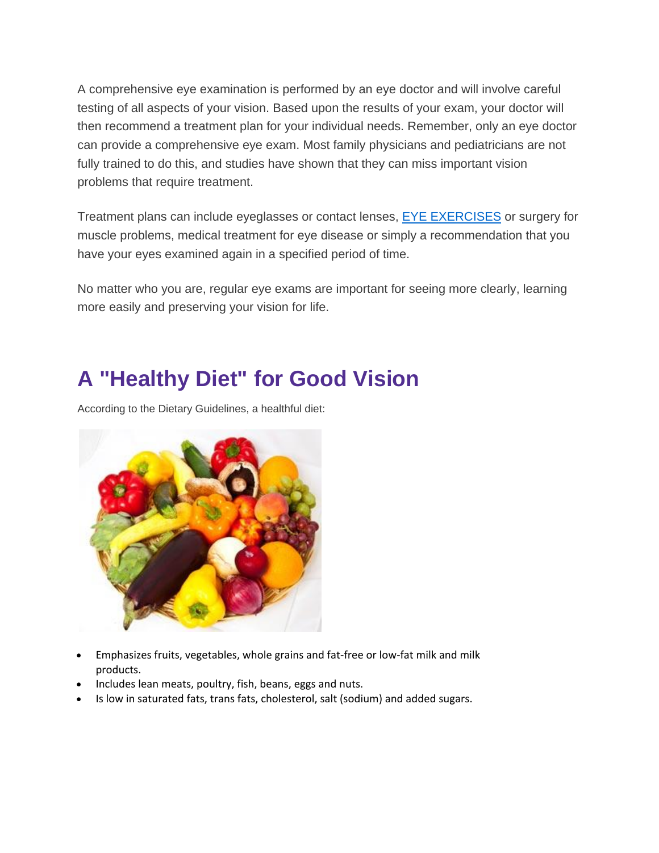A comprehensive eye examination is performed by an eye doctor and will involve careful testing of all aspects of your vision. Based upon the results of your exam, your doctor will then recommend a treatment plan for your individual needs. Remember, only an eye doctor can provide a comprehensive eye exam. Most family physicians and pediatricians are not fully trained to do this, and studies have shown that they can miss important vision problems that require treatment.

Treatment plans can include eyeglasses or contact lenses, **[EYE EXERCISES](http://www.thinkaboutyoureyes.com/articles/prevention-care/why-are-eye-exams-important)** or surgery for muscle problems, medical treatment for eye disease or simply a recommendation that you have your eyes examined again in a specified period of time.

No matter who you are, regular eye exams are important for seeing more clearly, learning more easily and preserving your vision for life.

## **A "Healthy Diet" for Good Vision**

According to the Dietary Guidelines, a healthful diet:



- Emphasizes fruits, vegetables, whole grains and fat-free or low-fat milk and milk products.
- Includes lean meats, poultry, fish, beans, eggs and nuts.
- Is low in saturated fats, trans fats, cholesterol, salt (sodium) and added sugars.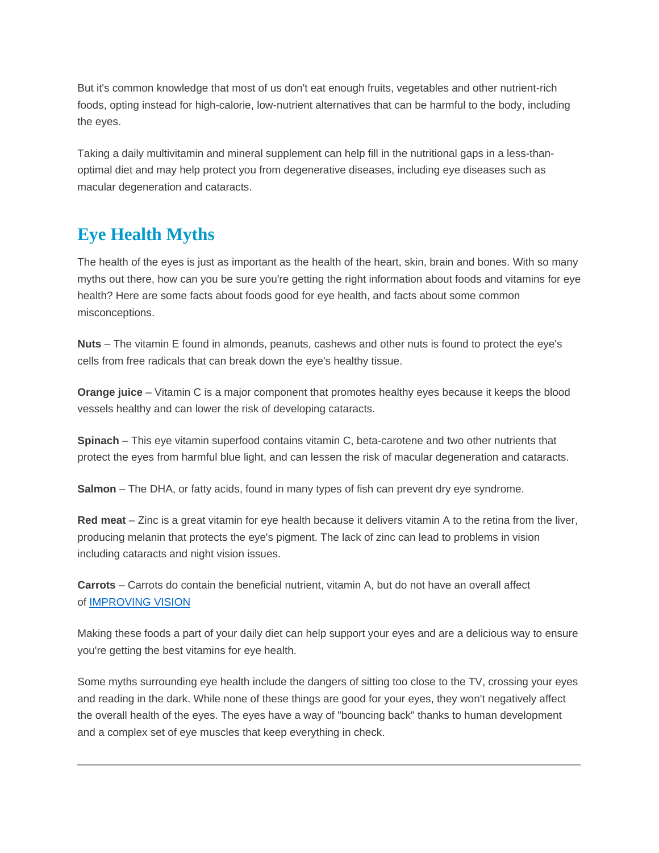But it's common knowledge that most of us don't eat enough fruits, vegetables and other nutrient-rich foods, opting instead for high-calorie, low-nutrient alternatives that can be harmful to the body, including the eyes.

Taking a daily multivitamin and mineral supplement can help fill in the nutritional gaps in a less-thanoptimal diet and may help protect you from degenerative diseases, including eye diseases such as macular degeneration and cataracts.

### **Eye Health Myths**

The health of the eyes is just as important as the health of the heart, skin, brain and bones. With so many myths out there, how can you be sure you're getting the right information about foods and vitamins for eye health? Here are some facts about foods good for eye health, and facts about some common misconceptions.

**Nuts** – The vitamin E found in almonds, peanuts, cashews and other nuts is found to protect the eye's cells from free radicals that can break down the eye's healthy tissue.

**Orange juice** – Vitamin C is a major component that promotes healthy eyes because it keeps the blood vessels healthy and can lower the risk of developing cataracts.

**Spinach** – This eye vitamin superfood contains vitamin C, beta-carotene and two other nutrients that protect the eyes from harmful blue light, and can lessen the risk of macular degeneration and cataracts.

**Salmon** – The DHA, or fatty acids, found in many types of fish can prevent dry eye syndrome.

**Red meat** – Zinc is a great vitamin for eye health because it delivers vitamin A to the retina from the liver, producing melanin that protects the eye's pigment. The lack of zinc can lead to problems in vision including cataracts and night vision issues.

**Carrots** – Carrots do contain the beneficial nutrient, vitamin A, but do not have an overall affect of [IMPROVING VISION](http://www.thinkaboutyoureyes.com/articles/prevention-care/what-is-a-healthy-diet-for-good-vision)

Making these foods a part of your daily diet can help support your eyes and are a delicious way to ensure you're getting the best vitamins for eye health.

Some myths surrounding eye health include the dangers of sitting too close to the TV, crossing your eyes and reading in the dark. While none of these things are good for your eyes, they won't negatively affect the overall health of the eyes. The eyes have a way of "bouncing back" thanks to human development and a complex set of eye muscles that keep everything in check.